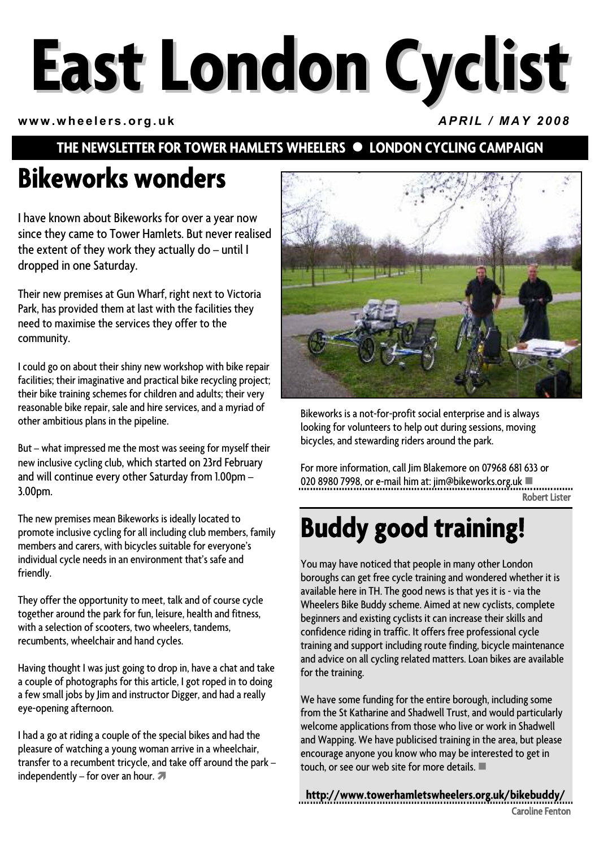# **East London Cyclist**

**www.wheelers.org.uk** *APRIL / MAY 2008*

#### **THE NEWSLETTER FOR TOWER HAMLETS WHEELERS**  $\bullet$  **LONDON CYCLING CAMPAIGN**

## **Bikeworks wonders**

I have known about Bikeworks for over a year now since they came to Tower Hamlets. But never realised the extent of they work they actually do – until I dropped in one Saturday.

Their new premises at Gun Wharf, right next to Victoria Park, has provided them at last with the facilities they need to maximise the services they offer to the community.

I could go on about their shiny new workshop with bike repair facilities; their imaginative and practical bike recycling project; their bike training schemes for children and adults; their very reasonable bike repair, sale and hire services, and a myriad of other ambitious plans in the pipeline.

But – what impressed me the most was seeing for myself their new inclusive cycling club, which started on 23rd February and will continue every other Saturday from 1.00pm – 3.00pm.

The new premises mean Bikeworks is ideally located to promote inclusive cycling for all including club members, family members and carers, with bicycles suitable for everyone's individual cycle needs in an environment that's safe and friendly.

They offer the opportunity to meet, talk and of course cycle together around the park for fun, leisure, health and fitness, with a selection of scooters, two wheelers, tandems, recumbents, wheelchair and hand cycles.

Having thought I was just going to drop in, have a chat and take a couple of photographs for this article, I got roped in to doing a few small jobs by Jim and instructor Digger, and had a really eye-opening afternoon.

I had a go at riding a couple of the special bikes and had the pleasure of watching a young woman arrive in a wheelchair, transfer to a recumbent tricycle, and take off around the park – independently – for over an hour.  $\blacktriangledown$ 



Bikeworks is a not-for-profit social enterprise and is always looking for volunteers to help out during sessions, moving bicycles, and stewarding riders around the park.

For more information, call Jim Blakemore on 07968 681 633 or 020 8980 7998, or e-mail him at: jim@bikeworks.org.uk Robert Lister

## **Buddy good training!**

You may have noticed that people in many other London boroughs can get free cycle training and wondered whether it is available here in TH. The good news is that yes it is - via the Wheelers Bike Buddy scheme. Aimed at new cyclists, complete beginners and existing cyclists it can increase their skills and confidence riding in traffic. It offers free professional cycle training and support including route finding, bicycle maintenance and advice on all cycling related matters. Loan bikes are available for the training.

We have some funding for the entire borough, including some from the St Katharine and Shadwell Trust, and would particularly welcome applications from those who live or work in Shadwell and Wapping. We have publicised training in the area, but please encourage anyone you know who may be interested to get in touch, or see our web site for more details.

**http://www.towerhamletswheelers.org.uk/bikebuddy/** Caroline Fenton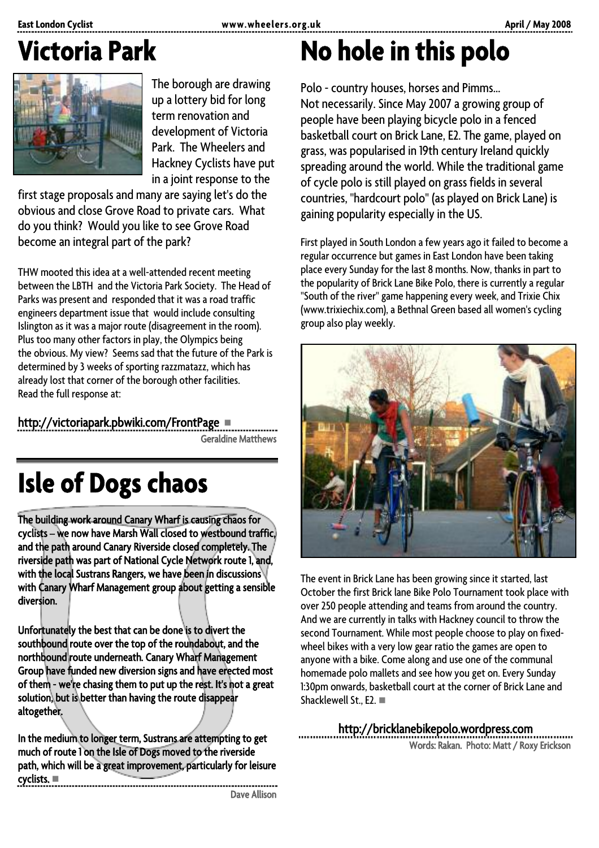## **Victoria Park**



The borough are drawing up a lottery bid for long term renovation and development of Victoria Park. The Wheelers and Hackney Cyclists have put in a joint response to the

first stage proposals and many are saying let's do the obvious and close Grove Road to private cars. What do you think? Would you like to see Grove Road become an integral part of the park?

THW mooted this idea at a well-attended recent meeting between the LBTH and the Victoria Park Society. The Head of Parks was present and responded that it was a road traffic engineers department issue that would include consulting Islington as it was a major route (disagreement in the room). Plus too many other factors in play, the Olympics being the obvious. My view? Seems sad that the future of the Park is determined by 3 weeks of sporting razzmatazz, which has already lost that corner of the borough other facilities. Read the full response at:

http://victoriapark.pbwiki.com/FrontPage

Geraldine Matthews

## **Isle of Dogs chaos**

The building work around Canary Wharf is causing chaos for cyclists – we now have Marsh Wall closed to westbound traffic, and the path around Canary Riverside closed completely. The riverside path was part of National Cycle Network route 1, and, with the local Sustrans Rangers, we have been in discussions with Canary Wharf Management group about getting a sensible diversion.

Unfortunately the best that can be done is to divert the southbound route over the top of the roundabout, and the northbound route underneath. Canary Wharf Management Group have funded new diversion signs and have erected most of them - we're chasing them to put up the rest. It's not a great solution, but is better than having the route disappear altogether.

In the medium to longer term, Sustrans are attempting to get much of route 1 on the Isle of Dogs moved to the riverside path, which will be a great improvement, particularly for leisure cyclists. 

Dave Allison

## **No hole in this polo**

Polo - country houses, horses and Pimms… Not necessarily. Since May 2007 a growing group of people have been playing bicycle polo in a fenced basketball court on Brick Lane, E2. The game, played on grass, was popularised in 19th century Ireland quickly spreading around the world. While the traditional game of cycle polo is still played on grass fields in several countries, "hardcourt polo" (as played on Brick Lane) is gaining popularity especially in the US.

First played in South London a few years ago it failed to become a regular occurrence but games in East London have been taking place every Sunday for the last 8 months. Now, thanks in part to the popularity of Brick Lane Bike Polo, there is currently a regular "South of the river" game happening every week, and Trixie Chix (www.trixiechix.com), a Bethnal Green based all women's cycling group also play weekly.



The event in Brick Lane has been growing since it started, last October the first Brick lane Bike Polo Tournament took place with over 250 people attending and teams from around the country. And we are currently in talks with Hackney council to throw the second Tournament. While most people choose to play on fixedwheel bikes with a very low gear ratio the games are open to anyone with a bike. Come along and use one of the communal homemade polo mallets and see how you get on. Every Sunday 1:30pm onwards, basketball court at the corner of Brick Lane and Shacklewell St., E2. ■

#### http://bricklanebikepolo.wordpress.com

Words: Rakan. Photo: Matt / Roxy Erickson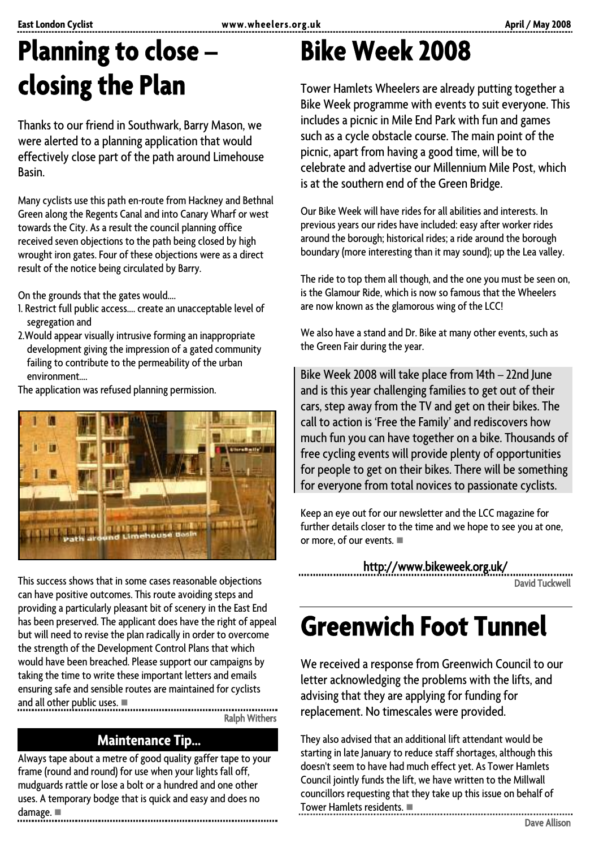## **Planning to close – closing the Plan**

Thanks to our friend in Southwark, Barry Mason, we were alerted to a planning application that would effectively close part of the path around Limehouse Basin.

Many cyclists use this path en-route from Hackney and Bethnal Green along the Regents Canal and into Canary Wharf or west towards the City. As a result the council planning office received seven objections to the path being closed by high wrought iron gates. Four of these objections were as a direct result of the notice being circulated by Barry.

On the grounds that the gates would….

- 1. Restrict full public access…. create an unacceptable level of segregation and
- 2.Would appear visually intrusive forming an inappropriate development giving the impression of a gated community failing to contribute to the permeability of the urban environment….

The application was refused planning permission.



This success shows that in some cases reasonable objections can have positive outcomes. This route avoiding steps and providing a particularly pleasant bit of scenery in the East End has been preserved. The applicant does have the right of appeal but will need to revise the plan radically in order to overcome the strength of the Development Control Plans that which would have been breached. Please support our campaigns by taking the time to write these important letters and emails ensuring safe and sensible routes are maintained for cyclists and all other public uses.

Ralph Withers

#### **Maintenance Tip…**

Always tape about a metre of good quality gaffer tape to your frame (round and round) for use when your lights fall off, mudguards rattle or lose a bolt or a hundred and one other uses. A temporary bodge that is quick and easy and does no damage. 

## **Bike Week 2008**

Tower Hamlets Wheelers are already putting together a Bike Week programme with events to suit everyone. This includes a picnic in Mile End Park with fun and games such as a cycle obstacle course. The main point of the picnic, apart from having a good time, will be to celebrate and advertise our Millennium Mile Post, which is at the southern end of the Green Bridge.

Our Bike Week will have rides for all abilities and interests. In previous years our rides have included: easy after worker rides around the borough; historical rides; a ride around the borough boundary (more interesting than it may sound); up the Lea valley.

The ride to top them all though, and the one you must be seen on, is the Glamour Ride, which is now so famous that the Wheelers are now known as the glamorous wing of the LCC!

We also have a stand and Dr. Bike at many other events, such as the Green Fair during the year.

Bike Week 2008 will take place from 14th – 22nd June and is this year challenging families to get out of their cars, step away from the TV and get on their bikes. The call to action is 'Free the Family' and rediscovers how much fun you can have together on a bike. Thousands of free cycling events will provide plenty of opportunities for people to get on their bikes. There will be something for everyone from total novices to passionate cyclists.

Keep an eye out for our newsletter and the LCC magazine for further details closer to the time and we hope to see you at one, or more, of our events.

http://www.bikeweek.org.uk/

David Tuckwell

## **Greenwich Foot Tunnel**

We received a response from Greenwich Council to our letter acknowledging the problems with the lifts, and advising that they are applying for funding for replacement. No timescales were provided.

They also advised that an additional lift attendant would be starting in late January to reduce staff shortages, although this doesn't seem to have had much effect yet. As Tower Hamlets Council jointly funds the lift, we have written to the Millwall councillors requesting that they take up this issue on behalf of Tower Hamlets residents.